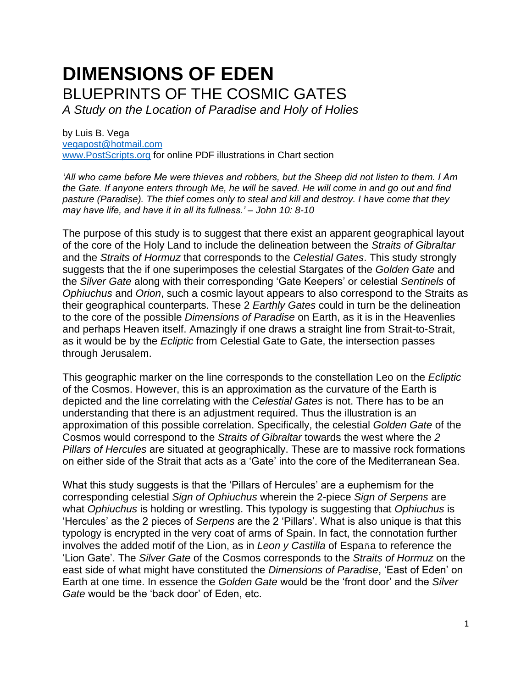# **DIMENSIONS OF EDEN** BLUEPRINTS OF THE COSMIC GATES

*A Study on the Location of Paradise and Holy of Holies*

by Luis B. Vega [vegapost@hotmail.com](mailto:vegapost@hotmail.com) [www.PostScripts.org](http://www.postscripts.org/) for online PDF illustrations in Chart section

*'All who came before Me were thieves and robbers, but the Sheep did not listen to them. I Am the Gate. If anyone enters through Me, he will be saved. He will come in and go out and find pasture (Paradise). The thief comes only to steal and kill and destroy. I have come that they may have life, and have it in all its fullness.' – John 10: 8-10*

The purpose of this study is to suggest that there exist an apparent geographical layout of the core of the Holy Land to include the delineation between the *Straits of Gibraltar* and the *Straits of Hormuz* that corresponds to the *Celestial Gates*. This study strongly suggests that the if one superimposes the celestial Stargates of the *Golden Gate* and the *Silver Gate* along with their corresponding 'Gate Keepers' or celestial *Sentinels* of *Ophiuchus* and *Orion*, such a cosmic layout appears to also correspond to the Straits as their geographical counterparts. These 2 *Earthly Gates* could in turn be the delineation to the core of the possible *Dimensions of Paradise* on Earth, as it is in the Heavenlies and perhaps Heaven itself. Amazingly if one draws a straight line from Strait-to-Strait, as it would be by the *Ecliptic* from Celestial Gate to Gate, the intersection passes through Jerusalem.

This geographic marker on the line corresponds to the constellation Leo on the *Ecliptic* of the Cosmos. However, this is an approximation as the curvature of the Earth is depicted and the line correlating with the *Celestial Gates* is not. There has to be an understanding that there is an adjustment required. Thus the illustration is an approximation of this possible correlation. Specifically, the celestial *Golden Gate* of the Cosmos would correspond to the *Straits of Gibraltar* towards the west where the *2 Pillars of Hercules* are situated at geographically. These are to massive rock formations on either side of the Strait that acts as a 'Gate' into the core of the Mediterranean Sea.

What this study suggests is that the 'Pillars of Hercules' are a euphemism for the corresponding celestial *Sign of Ophiuchus* wherein the 2-piece *Sign of Serpens* are what *Ophiuchus* is holding or wrestling. This typology is suggesting that *Ophiuchus* is 'Hercules' as the 2 pieces of *Serpens* are the 2 'Pillars'. What is also unique is that this typology is encrypted in the very coat of arms of Spain. In fact, the connotation further involves the added motif of the Lion, as in *Leon y Castilla* of España to reference the 'Lion Gate'. The *Silver Gate* of the Cosmos corresponds to the *Straits of Hormuz* on the east side of what might have constituted the *Dimensions of Paradise*, 'East of Eden' on Earth at one time. In essence the *Golden Gate* would be the 'front door' and the *Silver Gate* would be the 'back door' of Eden, etc.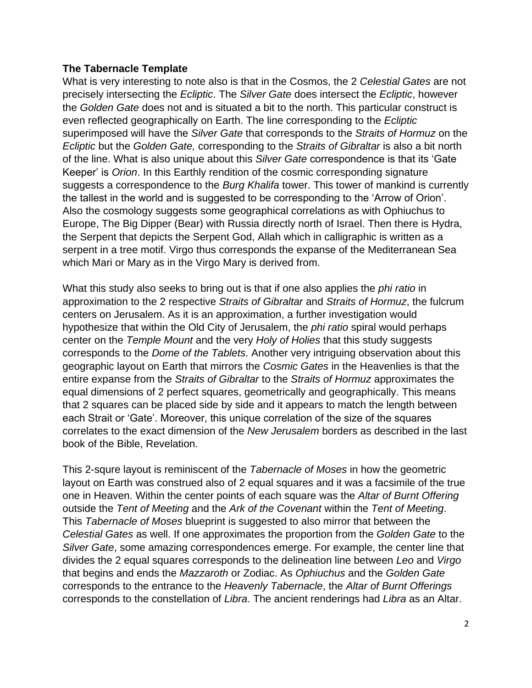#### **The Tabernacle Template**

What is very interesting to note also is that in the Cosmos, the 2 *Celestial Gates* are not precisely intersecting the *Ecliptic*. The *Silver Gate* does intersect the *Ecliptic*, however the *Golden Gate* does not and is situated a bit to the north. This particular construct is even reflected geographically on Earth. The line corresponding to the *Ecliptic* superimposed will have the *Silver Gate* that corresponds to the *Straits of Hormuz* on the *Ecliptic* but the *Golden Gate,* corresponding to the *Straits of Gibraltar* is also a bit north of the line. What is also unique about this *Silver Gate* correspondence is that its 'Gate Keeper' is *Orion*. In this Earthly rendition of the cosmic corresponding signature suggests a correspondence to the *Burg Khalifa* tower. This tower of mankind is currently the tallest in the world and is suggested to be corresponding to the 'Arrow of Orion'. Also the cosmology suggests some geographical correlations as with Ophiuchus to Europe, The Big Dipper (Bear) with Russia directly north of Israel. Then there is Hydra, the Serpent that depicts the Serpent God, Allah which in calligraphic is written as a serpent in a tree motif. Virgo thus corresponds the expanse of the Mediterranean Sea which Mari or Mary as in the Virgo Mary is derived from.

What this study also seeks to bring out is that if one also applies the *phi ratio* in approximation to the 2 respective *Straits of Gibraltar* and *Straits of Hormuz*, the fulcrum centers on Jerusalem. As it is an approximation, a further investigation would hypothesize that within the Old City of Jerusalem, the *phi ratio* spiral would perhaps center on the *Temple Mount* and the very *Holy of Holies* that this study suggests corresponds to the *Dome of the Tablets*. Another very intriguing observation about this geographic layout on Earth that mirrors the *Cosmic Gates* in the Heavenlies is that the entire expanse from the *Straits of Gibraltar* to the *Straits of Hormuz* approximates the equal dimensions of 2 perfect squares, geometrically and geographically. This means that 2 squares can be placed side by side and it appears to match the length between each Strait or 'Gate'. Moreover, this unique correlation of the size of the squares correlates to the exact dimension of the *New Jerusalem* borders as described in the last book of the Bible, Revelation.

This 2-squre layout is reminiscent of the *Tabernacle of Moses* in how the geometric layout on Earth was construed also of 2 equal squares and it was a facsimile of the true one in Heaven. Within the center points of each square was the *Altar of Burnt Offering* outside the *Tent of Meeting* and the *Ark of the Covenant* within the *Tent of Meeting*. This *Tabernacle of Moses* blueprint is suggested to also mirror that between the *Celestial Gates* as well. If one approximates the proportion from the *Golden Gate* to the *Silver Gate*, some amazing correspondences emerge. For example, the center line that divides the 2 equal squares corresponds to the delineation line between *Leo* and *Virgo* that begins and ends the *Mazzaroth* or Zodiac. As *Ophiuchus* and the *Golden Gate* corresponds to the entrance to the *Heavenly Tabernacle*, the *Altar of Burnt Offerings* corresponds to the constellation of *Libra*. The ancient renderings had *Libra* as an Altar.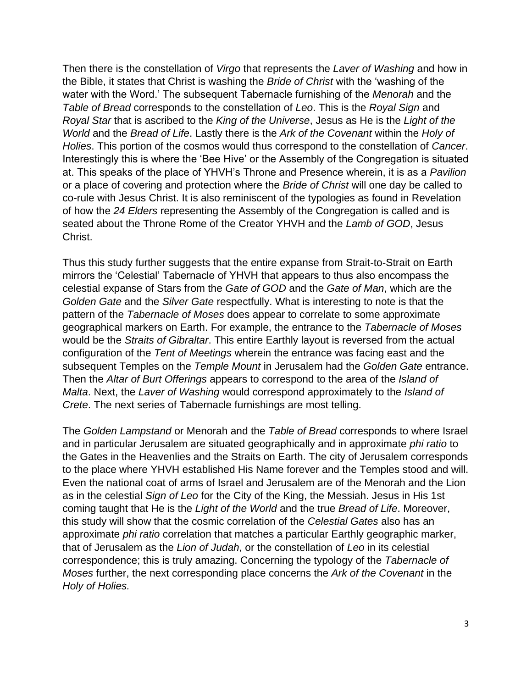Then there is the constellation of *Virgo* that represents the *Laver of Washing* and how in the Bible, it states that Christ is washing the *Bride of Christ* with the 'washing of the water with the Word.' The subsequent Tabernacle furnishing of the *Menorah* and the *Table of Bread* corresponds to the constellation of *Leo*. This is the *Royal Sign* and *Royal Star* that is ascribed to the *King of the Universe*, Jesus as He is the *Light of the World* and the *Bread of Life*. Lastly there is the *Ark of the Covenant* within the *Holy of Holies*. This portion of the cosmos would thus correspond to the constellation of *Cancer*. Interestingly this is where the 'Bee Hive' or the Assembly of the Congregation is situated at. This speaks of the place of YHVH's Throne and Presence wherein, it is as a *Pavilion* or a place of covering and protection where the *Bride of Christ* will one day be called to co-rule with Jesus Christ. It is also reminiscent of the typologies as found in Revelation of how the *24 Elders* representing the Assembly of the Congregation is called and is seated about the Throne Rome of the Creator YHVH and the *Lamb of GOD*, Jesus Christ.

Thus this study further suggests that the entire expanse from Strait-to-Strait on Earth mirrors the 'Celestial' Tabernacle of YHVH that appears to thus also encompass the celestial expanse of Stars from the *Gate of GOD* and the *Gate of Man*, which are the *Golden Gate* and the *Silver Gate* respectfully. What is interesting to note is that the pattern of the *Tabernacle of Moses* does appear to correlate to some approximate geographical markers on Earth. For example, the entrance to the *Tabernacle of Moses* would be the *Straits of Gibraltar*. This entire Earthly layout is reversed from the actual configuration of the *Tent of Meetings* wherein the entrance was facing east and the subsequent Temples on the *Temple Mount* in Jerusalem had the *Golden Gate* entrance. Then the *Altar of Burt Offerings* appears to correspond to the area of the *Island of Malta*. Next, the *Laver of Washing* would correspond approximately to the *Island of Crete*. The next series of Tabernacle furnishings are most telling.

The *Golden Lampstand* or Menorah and the *Table of Bread* corresponds to where Israel and in particular Jerusalem are situated geographically and in approximate *phi ratio* to the Gates in the Heavenlies and the Straits on Earth. The city of Jerusalem corresponds to the place where YHVH established His Name forever and the Temples stood and will. Even the national coat of arms of Israel and Jerusalem are of the Menorah and the Lion as in the celestial *Sign of Leo* for the City of the King, the Messiah. Jesus in His 1st coming taught that He is the *Light of the World* and the true *Bread of Life*. Moreover, this study will show that the cosmic correlation of the *Celestial Gates* also has an approximate *phi ratio* correlation that matches a particular Earthly geographic marker, that of Jerusalem as the *Lion of Judah*, or the constellation of *Leo* in its celestial correspondence; this is truly amazing. Concerning the typology of the *Tabernacle of Moses* further, the next corresponding place concerns the *Ark of the Covenant* in the *Holy of Holies.*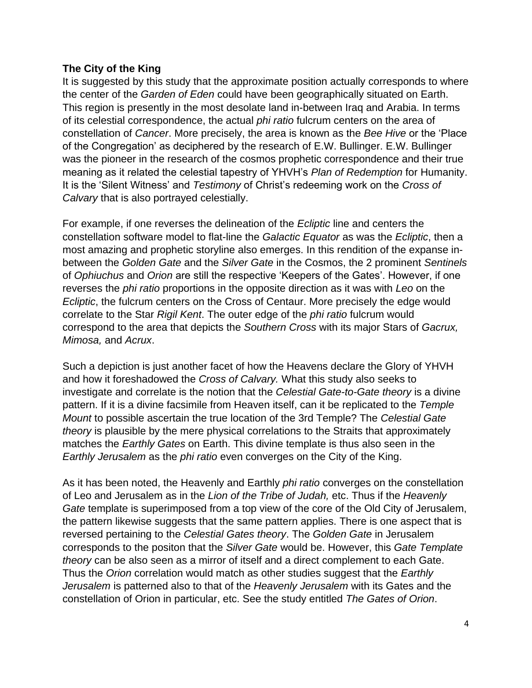## **The City of the King**

It is suggested by this study that the approximate position actually corresponds to where the center of the *Garden of Eden* could have been geographically situated on Earth. This region is presently in the most desolate land in-between Iraq and Arabia. In terms of its celestial correspondence, the actual *phi ratio* fulcrum centers on the area of constellation of *Cancer*. More precisely, the area is known as the *Bee Hive* or the 'Place of the Congregation' as deciphered by the research of E.W. Bullinger. E.W. Bullinger was the pioneer in the research of the cosmos prophetic correspondence and their true meaning as it related the celestial tapestry of YHVH's *Plan of Redemption* for Humanity. It is the 'Silent Witness' and *Testimony* of Christ's redeeming work on the *Cross of Calvary* that is also portrayed celestially.

For example, if one reverses the delineation of the *Ecliptic* line and centers the constellation software model to flat-line the *Galactic Equator* as was the *Ecliptic*, then a most amazing and prophetic storyline also emerges. In this rendition of the expanse inbetween the *Golden Gate* and the *Silver Gate* in the Cosmos, the 2 prominent *Sentinels* of *Ophiuchus* and *Orion* are still the respective 'Keepers of the Gates'. However, if one reverses the *phi ratio* proportions in the opposite direction as it was with *Leo* on the *Ecliptic*, the fulcrum centers on the Cross of Centaur. More precisely the edge would correlate to the Star *Rigil Kent*. The outer edge of the *phi ratio* fulcrum would correspond to the area that depicts the *Southern Cross* with its major Stars of *Gacrux, Mimosa,* and *Acrux*.

Such a depiction is just another facet of how the Heavens declare the Glory of YHVH and how it foreshadowed the *Cross of Calvary.* What this study also seeks to investigate and correlate is the notion that the *Celestial Gate-to-Gate theory* is a divine pattern. If it is a divine facsimile from Heaven itself, can it be replicated to the *Temple Mount* to possible ascertain the true location of the 3rd Temple? The *Celestial Gate theory* is plausible by the mere physical correlations to the Straits that approximately matches the *Earthly Gates* on Earth. This divine template is thus also seen in the *Earthly Jerusalem* as the *phi ratio* even converges on the City of the King.

As it has been noted, the Heavenly and Earthly *phi ratio* converges on the constellation of Leo and Jerusalem as in the *Lion of the Tribe of Judah,* etc. Thus if the *Heavenly Gate* template is superimposed from a top view of the core of the Old City of Jerusalem, the pattern likewise suggests that the same pattern applies. There is one aspect that is reversed pertaining to the *Celestial Gates theory*. The *Golden Gate* in Jerusalem corresponds to the positon that the *Silver Gate* would be. However, this *Gate Template theory* can be also seen as a mirror of itself and a direct complement to each Gate. Thus the *Orion* correlation would match as other studies suggest that the *Earthly Jerusalem* is patterned also to that of the *Heavenly Jerusalem* with its Gates and the constellation of Orion in particular, etc. See the study entitled *The Gates of Orion*.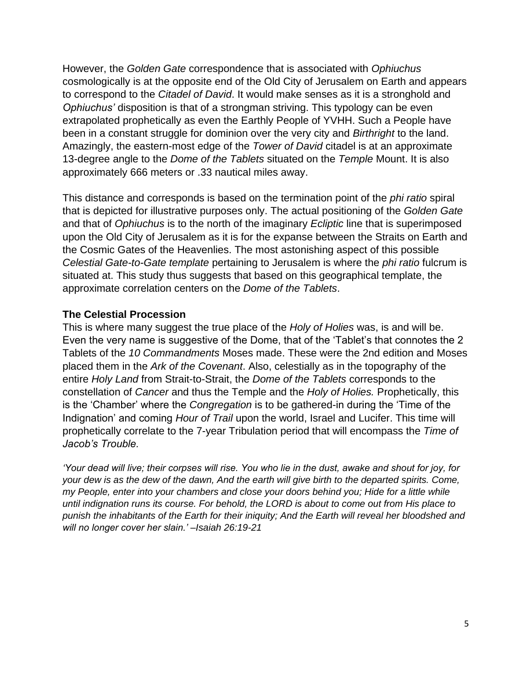However, the *Golden Gate* correspondence that is associated with *Ophiuchus* cosmologically is at the opposite end of the Old City of Jerusalem on Earth and appears to correspond to the *Citadel of David*. It would make senses as it is a stronghold and *Ophiuchus'* disposition is that of a strongman striving. This typology can be even extrapolated prophetically as even the Earthly People of YVHH. Such a People have been in a constant struggle for dominion over the very city and *Birthright* to the land. Amazingly, the eastern-most edge of the *Tower of David* citadel is at an approximate 13-degree angle to the *Dome of the Tablets* situated on the *Temple* Mount. It is also approximately 666 meters or .33 nautical miles away.

This distance and corresponds is based on the termination point of the *phi ratio* spiral that is depicted for illustrative purposes only. The actual positioning of the *Golden Gate* and that of *Ophiuchus* is to the north of the imaginary *Ecliptic* line that is superimposed upon the Old City of Jerusalem as it is for the expanse between the Straits on Earth and the Cosmic Gates of the Heavenlies. The most astonishing aspect of this possible *Celestial Gate-to-Gate template* pertaining to Jerusalem is where the *phi ratio* fulcrum is situated at. This study thus suggests that based on this geographical template, the approximate correlation centers on the *Dome of the Tablets*.

## **The Celestial Procession**

This is where many suggest the true place of the *Holy of Holies* was, is and will be. Even the very name is suggestive of the Dome, that of the 'Tablet's that connotes the 2 Tablets of the *10 Commandments* Moses made. These were the 2nd edition and Moses placed them in the *Ark of the Covenant*. Also, celestially as in the topography of the entire *Holy Land* from Strait-to-Strait, the *Dome of the Tablets* corresponds to the constellation of *Cancer* and thus the Temple and the *Holy of Holies.* Prophetically, this is the 'Chamber' where the *Congregation* is to be gathered-in during the 'Time of the Indignation' and coming *Hour of Trail* upon the world, Israel and Lucifer. This time will prophetically correlate to the 7-year Tribulation period that will encompass the *Time of Jacob's Trouble.* 

*'Your dead will live; their corpses will rise. You who lie in the dust, awake and shout for joy, for your dew is as the dew of the dawn, And the earth will give birth to the departed spirits. Come, my People, enter into your chambers and close your doors behind you; Hide for a little while until indignation runs its course. For behold, the LORD is about to come out from His place to punish the inhabitants of the Earth for their iniquity; And the Earth will reveal her bloodshed and will no longer cover her slain.' –Isaiah 26:19-21*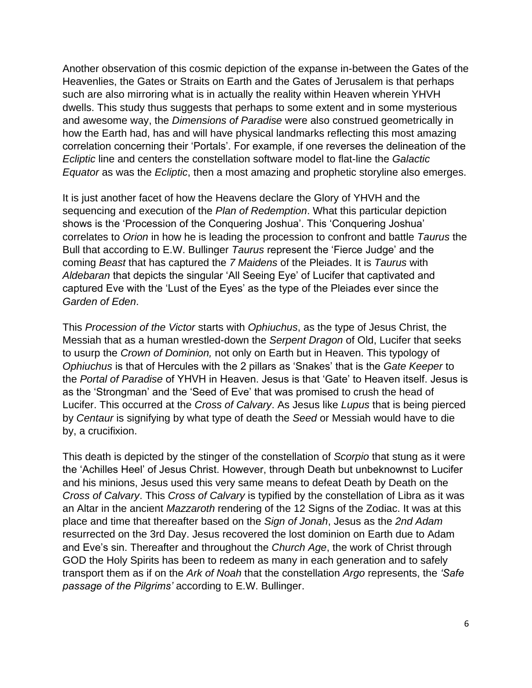Another observation of this cosmic depiction of the expanse in-between the Gates of the Heavenlies, the Gates or Straits on Earth and the Gates of Jerusalem is that perhaps such are also mirroring what is in actually the reality within Heaven wherein YHVH dwells. This study thus suggests that perhaps to some extent and in some mysterious and awesome way, the *Dimensions of Paradise* were also construed geometrically in how the Earth had, has and will have physical landmarks reflecting this most amazing correlation concerning their 'Portals'. For example, if one reverses the delineation of the *Ecliptic* line and centers the constellation software model to flat-line the *Galactic Equator* as was the *Ecliptic*, then a most amazing and prophetic storyline also emerges.

It is just another facet of how the Heavens declare the Glory of YHVH and the sequencing and execution of the *Plan of Redemption*. What this particular depiction shows is the 'Procession of the Conquering Joshua'. This 'Conquering Joshua' correlates to *Orion* in how he is leading the procession to confront and battle *Taurus* the Bull that according to E.W. Bullinger *Taurus* represent the 'Fierce Judge' and the coming *Beast* that has captured the *7 Maidens* of the Pleiades. It is *Taurus* with *Aldebaran* that depicts the singular 'All Seeing Eye' of Lucifer that captivated and captured Eve with the 'Lust of the Eyes' as the type of the Pleiades ever since the *Garden of Eden*.

This *Procession of the Victor* starts with *Ophiuchus*, as the type of Jesus Christ, the Messiah that as a human wrestled-down the *Serpent Dragon* of Old, Lucifer that seeks to usurp the *Crown of Dominion,* not only on Earth but in Heaven. This typology of *Ophiuchus* is that of Hercules with the 2 pillars as 'Snakes' that is the *Gate Keeper* to the *Portal of Paradise* of YHVH in Heaven. Jesus is that 'Gate' to Heaven itself. Jesus is as the 'Strongman' and the 'Seed of Eve' that was promised to crush the head of Lucifer. This occurred at the *Cross of Calvary*. As Jesus like *Lupus* that is being pierced by *Centaur* is signifying by what type of death the *Seed* or Messiah would have to die by, a crucifixion.

This death is depicted by the stinger of the constellation of *Scorpio* that stung as it were the 'Achilles Heel' of Jesus Christ. However, through Death but unbeknownst to Lucifer and his minions, Jesus used this very same means to defeat Death by Death on the *Cross of Calvary*. This *Cross of Calvary* is typified by the constellation of Libra as it was an Altar in the ancient *Mazzaroth* rendering of the 12 Signs of the Zodiac. It was at this place and time that thereafter based on the *Sign of Jonah*, Jesus as the *2nd Adam* resurrected on the 3rd Day. Jesus recovered the lost dominion on Earth due to Adam and Eve's sin. Thereafter and throughout the *Church Age*, the work of Christ through GOD the Holy Spirits has been to redeem as many in each generation and to safely transport them as if on the *Ark of Noah* that the constellation *Argo* represents, the *'Safe passage of the Pilgrims'* according to E.W. Bullinger.